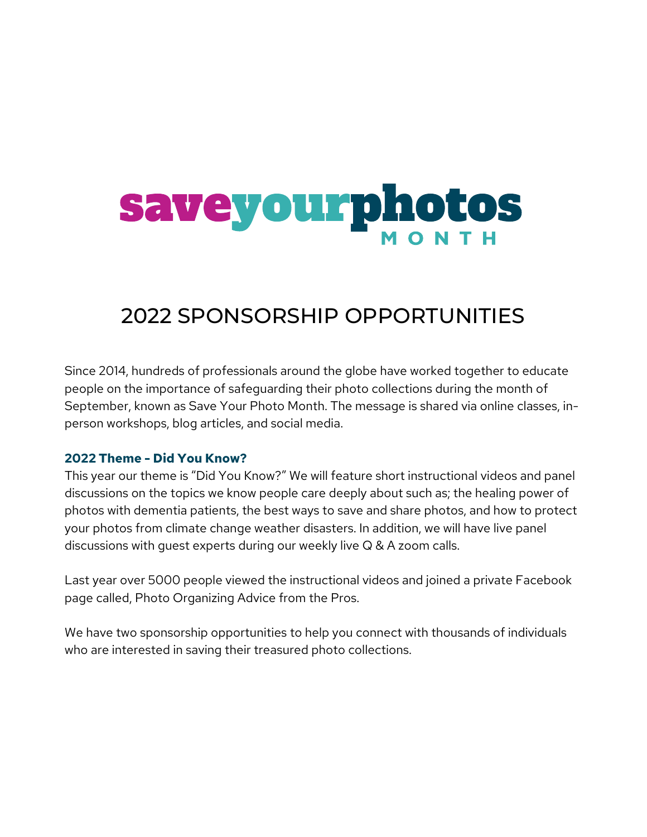# Saveyourphotos

### 2022 SPONSORSHIP OPPORTUNITIES

Since 2014, hundreds of professionals around the globe have worked together to educate people on the importance of safeguarding their photo collections during the month of September, known as Save Your Photo Month. The message is shared via online classes, inperson workshops, blog articles, and social media.

#### **2022 Theme - Did You Know?**

This year our theme is "Did You Know?" We will feature short instructional videos and panel discussions on the topics we know people care deeply about such as; the healing power of photos with dementia patients, the best ways to save and share photos, and how to protect your photos from climate change weather disasters. In addition, we will have live panel discussions with guest experts during our weekly live Q & A zoom calls.

Last year over 5000 people viewed the instructional videos and joined a private Facebook page called, Photo Organizing Advice from the Pros.

We have two sponsorship opportunities to help you connect with thousands of individuals who are interested in saving their treasured photo collections.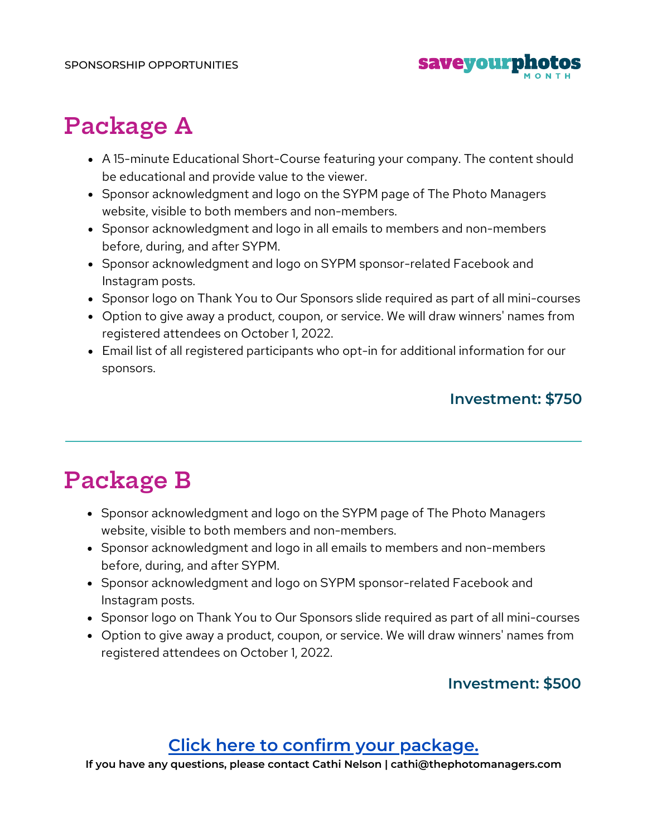

## **Package A**

- A 15-minute Educational Short-Course featuring your company. The content should be educational and provide value to the viewer.
- Sponsor acknowledgment and logo on the SYPM page of The Photo Managers website, visible to both members and non-members.
- Sponsor acknowledgment and logo in all emails to members and non-members before, during, and after SYPM.
- Sponsor acknowledgment and logo on SYPM sponsor-related Facebook and Instagram posts.
- Sponsor logo on Thank You to Our Sponsors slide required as part of all mini-courses
- Option to give away a product, coupon, or service. We will draw winners' names from registered attendees on October 1, 2022.
- Email list of all registered participants who opt-in for additional information for our sponsors.

#### **Investment: \$750**

## **Package B**

- Sponsor acknowledgment and logo on the SYPM page of The Photo Managers website, visible to both members and non-members.
- Sponsor acknowledgment and logo in all emails to members and non-members before, during, and after SYPM.
- Sponsor acknowledgment and logo on SYPM sponsor-related Facebook and Instagram posts.
- Sponsor logo on Thank You to Our Sponsors slide required as part of all mini-courses
- Option to give away a product, coupon, or service. We will draw winners' names from registered attendees on October 1, 2022.

#### **Investment: \$500**

#### **Click here to confirm your [package.](https://thephotomanagers.securechkout.com/sypm-2022-sponsorship)**

**If you have any questions, please contact Cathi Nelson | cathi@thephotomanagers.com**